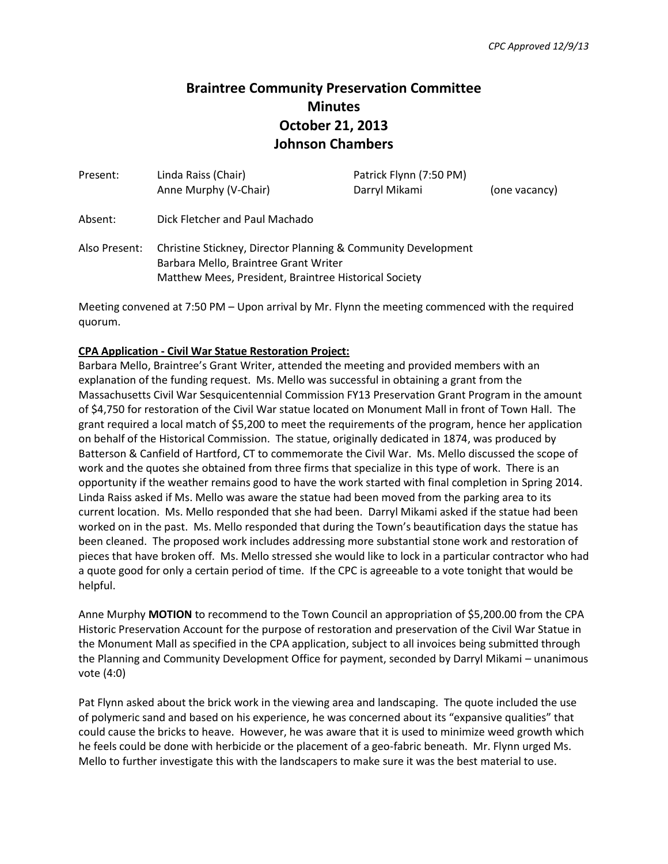# **Braintree Community Preservation Committee Minutes October 21, 2013 Johnson Chambers**

| Present:      | Linda Raiss (Chair)                                                                                                                                             | Patrick Flynn (7:50 PM) |               |
|---------------|-----------------------------------------------------------------------------------------------------------------------------------------------------------------|-------------------------|---------------|
|               | Anne Murphy (V-Chair)                                                                                                                                           | Darryl Mikami           | (one vacancy) |
| Absent:       | Dick Fletcher and Paul Machado                                                                                                                                  |                         |               |
| Also Present: | Christine Stickney, Director Planning & Community Development<br>Barbara Mello, Braintree Grant Writer<br>Matthew Mees, President, Braintree Historical Society |                         |               |

Meeting convened at 7:50 PM – Upon arrival by Mr. Flynn the meeting commenced with the required quorum.

# **CPA Application - Civil War Statue Restoration Project:**

Barbara Mello, Braintree's Grant Writer, attended the meeting and provided members with an explanation of the funding request. Ms. Mello was successful in obtaining a grant from the Massachusetts Civil War Sesquicentennial Commission FY13 Preservation Grant Program in the amount of \$4,750 for restoration of the Civil War statue located on Monument Mall in front of Town Hall. The grant required a local match of \$5,200 to meet the requirements of the program, hence her application on behalf of the Historical Commission. The statue, originally dedicated in 1874, was produced by Batterson & Canfield of Hartford, CT to commemorate the Civil War. Ms. Mello discussed the scope of work and the quotes she obtained from three firms that specialize in this type of work. There is an opportunity if the weather remains good to have the work started with final completion in Spring 2014. Linda Raiss asked if Ms. Mello was aware the statue had been moved from the parking area to its current location. Ms. Mello responded that she had been. Darryl Mikami asked if the statue had been worked on in the past. Ms. Mello responded that during the Town's beautification days the statue has been cleaned. The proposed work includes addressing more substantial stone work and restoration of pieces that have broken off. Ms. Mello stressed she would like to lock in a particular contractor who had a quote good for only a certain period of time. If the CPC is agreeable to a vote tonight that would be helpful.

Anne Murphy **MOTION** to recommend to the Town Council an appropriation of \$5,200.00 from the CPA Historic Preservation Account for the purpose of restoration and preservation of the Civil War Statue in the Monument Mall as specified in the CPA application, subject to all invoices being submitted through the Planning and Community Development Office for payment, seconded by Darryl Mikami – unanimous vote (4:0)

Pat Flynn asked about the brick work in the viewing area and landscaping. The quote included the use of polymeric sand and based on his experience, he was concerned about its "expansive qualities" that could cause the bricks to heave. However, he was aware that it is used to minimize weed growth which he feels could be done with herbicide or the placement of a geo-fabric beneath. Mr. Flynn urged Ms. Mello to further investigate this with the landscapers to make sure it was the best material to use.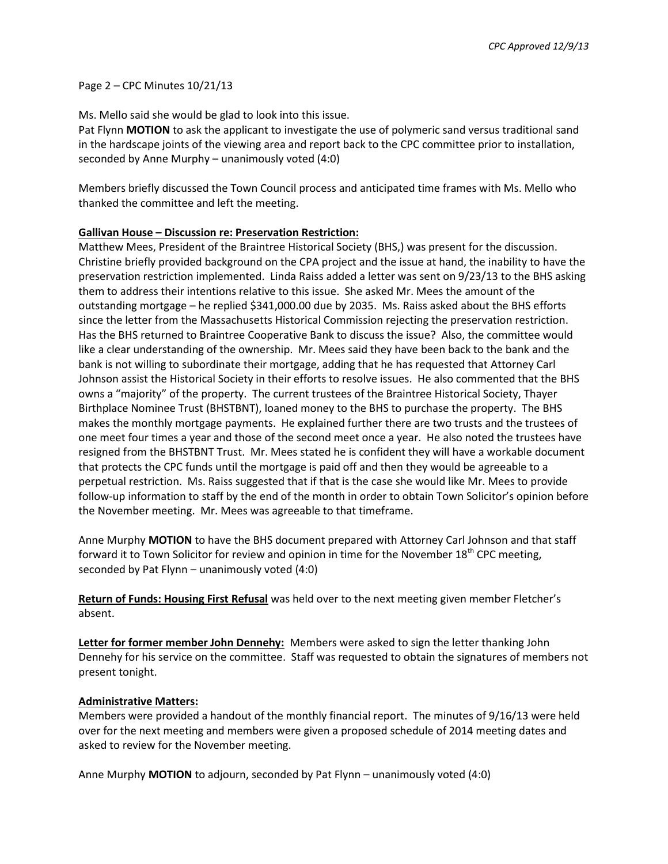### Page 2 – CPC Minutes 10/21/13

Ms. Mello said she would be glad to look into this issue.

Pat Flynn **MOTION** to ask the applicant to investigate the use of polymeric sand versus traditional sand in the hardscape joints of the viewing area and report back to the CPC committee prior to installation, seconded by Anne Murphy – unanimously voted (4:0)

Members briefly discussed the Town Council process and anticipated time frames with Ms. Mello who thanked the committee and left the meeting.

# **Gallivan House – Discussion re: Preservation Restriction:**

Matthew Mees, President of the Braintree Historical Society (BHS,) was present for the discussion. Christine briefly provided background on the CPA project and the issue at hand, the inability to have the preservation restriction implemented. Linda Raiss added a letter was sent on 9/23/13 to the BHS asking them to address their intentions relative to this issue. She asked Mr. Mees the amount of the outstanding mortgage – he replied \$341,000.00 due by 2035. Ms. Raiss asked about the BHS efforts since the letter from the Massachusetts Historical Commission rejecting the preservation restriction. Has the BHS returned to Braintree Cooperative Bank to discuss the issue? Also, the committee would like a clear understanding of the ownership. Mr. Mees said they have been back to the bank and the bank is not willing to subordinate their mortgage, adding that he has requested that Attorney Carl Johnson assist the Historical Society in their efforts to resolve issues. He also commented that the BHS owns a "majority" of the property. The current trustees of the Braintree Historical Society, Thayer Birthplace Nominee Trust (BHSTBNT), loaned money to the BHS to purchase the property. The BHS makes the monthly mortgage payments. He explained further there are two trusts and the trustees of one meet four times a year and those of the second meet once a year. He also noted the trustees have resigned from the BHSTBNT Trust. Mr. Mees stated he is confident they will have a workable document that protects the CPC funds until the mortgage is paid off and then they would be agreeable to a perpetual restriction. Ms. Raiss suggested that if that is the case she would like Mr. Mees to provide follow-up information to staff by the end of the month in order to obtain Town Solicitor's opinion before the November meeting. Mr. Mees was agreeable to that timeframe.

Anne Murphy **MOTION** to have the BHS document prepared with Attorney Carl Johnson and that staff forward it to Town Solicitor for review and opinion in time for the November 18<sup>th</sup> CPC meeting, seconded by Pat Flynn – unanimously voted (4:0)

**Return of Funds: Housing First Refusal** was held over to the next meeting given member Fletcher's absent.

**Letter for former member John Dennehy:** Members were asked to sign the letter thanking John Dennehy for his service on the committee. Staff was requested to obtain the signatures of members not present tonight.

# **Administrative Matters:**

Members were provided a handout of the monthly financial report. The minutes of 9/16/13 were held over for the next meeting and members were given a proposed schedule of 2014 meeting dates and asked to review for the November meeting.

Anne Murphy **MOTION** to adjourn, seconded by Pat Flynn – unanimously voted (4:0)